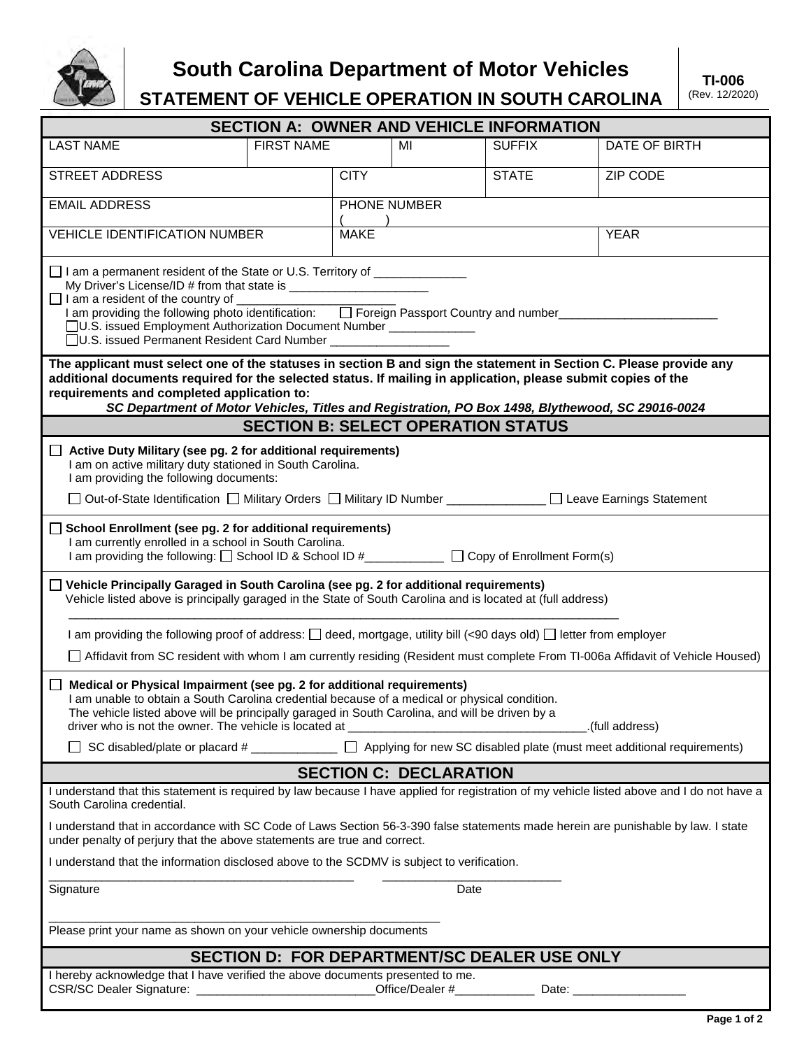

**South Carolina Department of Motor Vehicles**

**STATEMENT OF VEHICLE OPERATION IN SOUTH CAROLINA**

| <b>SECTION A: OWNER AND VEHICLE INFORMATION</b>                                                                                                                                                                                                                                                                                                                                                                                                                |                   |              |                 |               |               |
|----------------------------------------------------------------------------------------------------------------------------------------------------------------------------------------------------------------------------------------------------------------------------------------------------------------------------------------------------------------------------------------------------------------------------------------------------------------|-------------------|--------------|-----------------|---------------|---------------|
| <b>LAST NAME</b>                                                                                                                                                                                                                                                                                                                                                                                                                                               | <b>FIRST NAME</b> |              | MI              | <b>SUFFIX</b> | DATE OF BIRTH |
| <b>STREET ADDRESS</b>                                                                                                                                                                                                                                                                                                                                                                                                                                          |                   | <b>CITY</b>  |                 | <b>STATE</b>  | ZIP CODE      |
| <b>EMAIL ADDRESS</b>                                                                                                                                                                                                                                                                                                                                                                                                                                           |                   | PHONE NUMBER |                 |               |               |
| <b>VEHICLE IDENTIFICATION NUMBER</b>                                                                                                                                                                                                                                                                                                                                                                                                                           |                   | <b>MAKE</b>  |                 | <b>YEAR</b>   |               |
| □ I am a permanent resident of the State or U.S. Territory of ________________<br>$\Box$ I am a resident of the country of $\Box$<br>T am a resident of the country of <u>Communities Community of Country and number</u><br>I am providing the following photo identification: □ Foreign Passport Country and number<br>□U.S. issued Employment Authorization Document Number ____________<br>□ U.S. issued Permanent Resident Card Number __________________ |                   |              |                 |               |               |
| The applicant must select one of the statuses in section B and sign the statement in Section C. Please provide any<br>additional documents required for the selected status. If mailing in application, please submit copies of the<br>requirements and completed application to:<br>SC Department of Motor Vehicles, Titles and Registration, PO Box 1498, Blythewood, SC 29016-0024                                                                          |                   |              |                 |               |               |
| <b>SECTION B: SELECT OPERATION STATUS</b>                                                                                                                                                                                                                                                                                                                                                                                                                      |                   |              |                 |               |               |
| Active Duty Military (see pg. 2 for additional requirements)<br>$\Box$<br>I am on active military duty stationed in South Carolina.<br>I am providing the following documents:<br>□ Out-of-State Identification □ Military Orders □ Military ID Number ____________ □ Leave Earnings Statement                                                                                                                                                                 |                   |              |                 |               |               |
|                                                                                                                                                                                                                                                                                                                                                                                                                                                                |                   |              |                 |               |               |
| $\Box$ School Enrollment (see pg. 2 for additional requirements)<br>I am currently enrolled in a school in South Carolina.<br>I am providing the following: □ School ID & School ID #___________ □ Copy of Enrollment Form(s)                                                                                                                                                                                                                                  |                   |              |                 |               |               |
| $\Box$ Vehicle Principally Garaged in South Carolina (see pg. 2 for additional requirements)<br>Vehicle listed above is principally garaged in the State of South Carolina and is located at (full address)                                                                                                                                                                                                                                                    |                   |              |                 |               |               |
| I am providing the following proof of address: □ deed, mortgage, utility bill (<90 days old) □ letter from employer                                                                                                                                                                                                                                                                                                                                            |                   |              |                 |               |               |
| □ Affidavit from SC resident with whom I am currently residing (Resident must complete From TI-006a Affidavit of Vehicle Housed)                                                                                                                                                                                                                                                                                                                               |                   |              |                 |               |               |
| Medical or Physical Impairment (see pg. 2 for additional requirements)<br>I am unable to obtain a South Carolina credential because of a medical or physical condition.<br>The vehicle listed above will be principally garaged in South Carolina, and will be driven by a<br>driver who is not the owner. The vehicle is located at _<br>.(full address).                                                                                                     |                   |              |                 |               |               |
| SC disabled/plate or placard $#$ ______________ $\Box$ Applying for new SC disabled plate (must meet additional requirements)                                                                                                                                                                                                                                                                                                                                  |                   |              |                 |               |               |
| <b>SECTION C: DECLARATION</b>                                                                                                                                                                                                                                                                                                                                                                                                                                  |                   |              |                 |               |               |
| I understand that this statement is required by law because I have applied for registration of my vehicle listed above and I do not have a<br>South Carolina credential.                                                                                                                                                                                                                                                                                       |                   |              |                 |               |               |
| I understand that in accordance with SC Code of Laws Section 56-3-390 false statements made herein are punishable by law. I state<br>under penalty of perjury that the above statements are true and correct.                                                                                                                                                                                                                                                  |                   |              |                 |               |               |
| I understand that the information disclosed above to the SCDMV is subject to verification.                                                                                                                                                                                                                                                                                                                                                                     |                   |              |                 |               |               |
| Signature<br>Date                                                                                                                                                                                                                                                                                                                                                                                                                                              |                   |              |                 |               |               |
| Please print your name as shown on your vehicle ownership documents                                                                                                                                                                                                                                                                                                                                                                                            |                   |              |                 |               |               |
| <b>SECTION D: FOR DEPARTMENT/SC DEALER USE ONLY</b>                                                                                                                                                                                                                                                                                                                                                                                                            |                   |              |                 |               |               |
| I hereby acknowledge that I have verified the above documents presented to me.<br>CSR/SC Dealer Signature: __________                                                                                                                                                                                                                                                                                                                                          |                   |              | Office/Dealer # | Date:         |               |